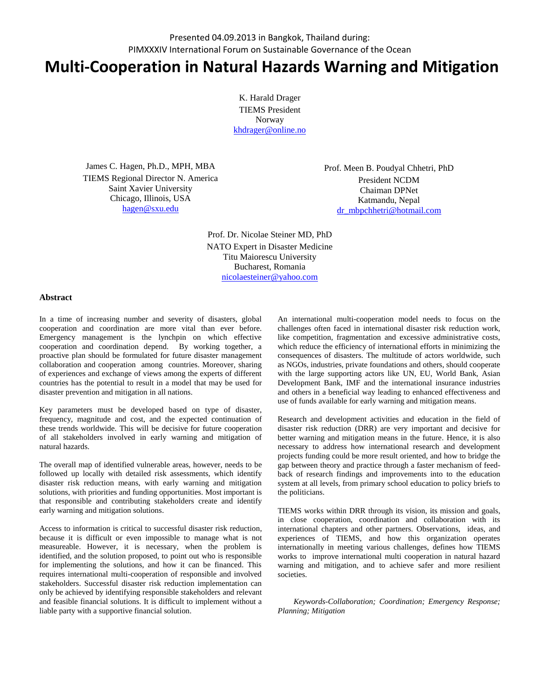# **Multi-Cooperation in Natural Hazards Warning and Mitigation**

K. Harald Drager TIEMS President Norway [khdrager@online.no](mailto:khdrager@online.no)

James C. Hagen, Ph.D., MPH, MBA TIEMS Regional Director N. America Saint Xavier University Chicago, Illinois, USA [hagen@sxu.edu](mailto:hagen@sxu.edu)

Prof. Meen B. Poudyal Chhetri, PhD President NCDM Chaiman DPNet Katmandu, Nepal [dr\\_mbpchhetri@hotmail.com](mailto:dr_mbpchhetri@hotmail.com)

Prof. Dr. Nicolae Steiner MD, PhD NATO Expert in Disaster Medicine Titu Maiorescu University Bucharest, Romania [nicolaesteiner@yahoo.com](mailto:nicolaesteiner@yahoo.com)

## **Abstract**

In a time of increasing number and severity of disasters, global cooperation and coordination are more vital than ever before. Emergency management is the lynchpin on which effective cooperation and coordination depend. By working together, a proactive plan should be formulated for future disaster management collaboration and cooperation among countries. Moreover, sharing of experiences and exchange of views among the experts of different countries has the potential to result in a model that may be used for disaster prevention and mitigation in all nations.

Key parameters must be developed based on type of disaster, frequency, magnitude and cost, and the expected continuation of these trends worldwide. This will be decisive for future cooperation of all stakeholders involved in early warning and mitigation of natural hazards.

The overall map of identified vulnerable areas, however, needs to be followed up locally with detailed risk assessments, which identify disaster risk reduction means, with early warning and mitigation solutions, with priorities and funding opportunities. Most important is that responsible and contributing stakeholders create and identify early warning and mitigation solutions.

Access to information is critical to successful disaster risk reduction, because it is difficult or even impossible to manage what is not measureable. However, it is necessary, when the problem is identified, and the solution proposed, to point out who is responsible for implementing the solutions, and how it can be financed. This requires international multi-cooperation of responsible and involved stakeholders. Successful disaster risk reduction implementation can only be achieved by identifying responsible stakeholders and relevant and feasible financial solutions. It is difficult to implement without a liable party with a supportive financial solution.

An international multi-cooperation model needs to focus on the challenges often faced in international disaster risk reduction work, like competition, fragmentation and excessive administrative costs, which reduce the efficiency of international efforts in minimizing the consequences of disasters. The multitude of actors worldwide, such as NGOs, industries, private foundations and others, should cooperate with the large supporting actors like UN, EU, World Bank, Asian Development Bank, IMF and the international insurance industries and others in a beneficial way leading to enhanced effectiveness and use of funds available for early warning and mitigation means.

Research and development activities and education in the field of disaster risk reduction (DRR) are very important and decisive for better warning and mitigation means in the future. Hence, it is also necessary to address how international research and development projects funding could be more result oriented, and how to bridge the gap between theory and practice through a faster mechanism of feedback of research findings and improvements into to the education system at all levels, from primary school education to policy briefs to the politicians.

TIEMS works within DRR through its vision, its mission and goals, in close cooperation, coordination and collaboration with its international chapters and other partners. Observations, ideas, and experiences of TIEMS, and how this organization operates internationally in meeting various challenges, defines how TIEMS works to improve international multi cooperation in natural hazard warning and mitigation, and to achieve safer and more resilient societies.

*Keywords-Collaboration; Coordination; Emergency Response; Planning; Mitigation*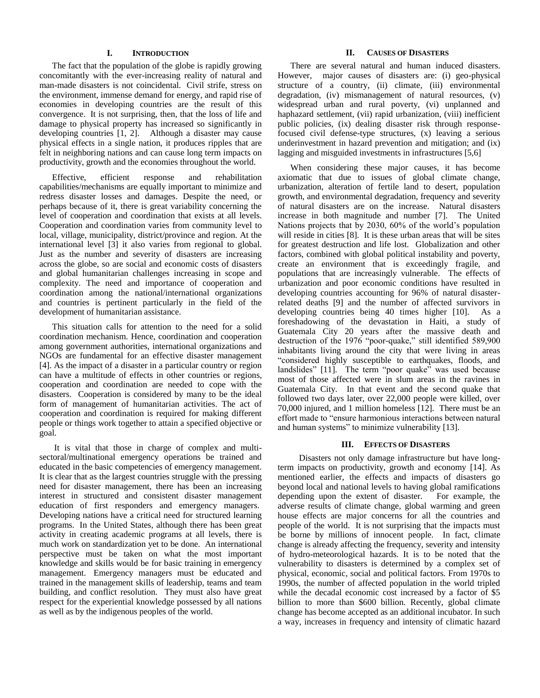## **I. INTRODUCTION**

The fact that the population of the globe is rapidly growing concomitantly with the ever-increasing reality of natural and man-made disasters is not coincidental. Civil strife, stress on the environment, immense demand for energy, and rapid rise of economies in developing countries are the result of this convergence. It is not surprising, then, that the loss of life and damage to physical property has increased so significantly in developing countries [1, 2]. Although a disaster may cause physical effects in a single nation, it produces ripples that are felt in neighboring nations and can cause long term impacts on productivity, growth and the economies throughout the world.

Effective, efficient response and rehabilitation capabilities/mechanisms are equally important to minimize and redress disaster losses and damages. Despite the need, or perhaps because of it, there is great variability concerning the level of cooperation and coordination that exists at all levels. Cooperation and coordination varies from community level to local, village, municipality, district/province and region. At the international level [3] it also varies from regional to global. Just as the number and severity of disasters are increasing across the globe, so are social and economic costs of disasters and global humanitarian challenges increasing in scope and complexity. The need and importance of cooperation and coordination among the national/international organizations and countries is pertinent particularly in the field of the development of humanitarian assistance.

This situation calls for attention to the need for a solid coordination mechanism. Hence, coordination and cooperation among government authorities, international organizations and NGOs are fundamental for an effective disaster management [4]. As the impact of a disaster in a particular country or region can have a multitude of effects in other countries or regions, cooperation and coordination are needed to cope with the disasters. Cooperation is considered by many to be the ideal form of management of humanitarian activities. The act of cooperation and coordination is required for making different people or things work together to attain a specified objective or goal.

It is vital that those in charge of complex and multisectoral/multinational emergency operations be trained and educated in the basic competencies of emergency management. It is clear that as the largest countries struggle with the pressing need for disaster management, there has been an increasing interest in structured and consistent disaster management education of first responders and emergency managers. Developing nations have a critical need for structured learning programs. In the United States, although there has been great activity in creating academic programs at all levels, there is much work on standardization yet to be done. An international perspective must be taken on what the most important knowledge and skills would be for basic training in emergency management. Emergency managers must be educated and trained in the management skills of leadership, teams and team building, and conflict resolution. They must also have great respect for the experiential knowledge possessed by all nations as well as by the indigenous peoples of the world.

## **II. CAUSES OF DISASTERS**

There are several natural and human induced disasters. However, major causes of disasters are: (i) geo-physical structure of a country, (ii) climate, (iii) environmental degradation, (iv) mismanagement of natural resources, (v) widespread urban and rural poverty, (vi) unplanned and haphazard settlement, (vii) rapid urbanization, (viii) inefficient public policies, (ix) dealing disaster risk through responsefocused civil defense-type structures, (x) leaving a serious underinvestment in hazard prevention and mitigation; and (ix) lagging and misguided investments in infrastructures [5,6]

When considering these major causes, it has become axiomatic that due to issues of global climate change, urbanization, alteration of fertile land to desert, population growth, and environmental degradation, frequency and severity of natural disasters are on the increase. Natural disasters increase in both magnitude and number [7]. The United Nations projects that by 2030, 60% of the world's population will reside in cities [8]. It is these urban areas that will be sites for greatest destruction and life lost. Globalization and other factors, combined with global political instability and poverty, create an environment that is exceedingly fragile, and populations that are increasingly vulnerable. The effects of urbanization and poor economic conditions have resulted in developing countries accounting for 96% of natural disasterrelated deaths [9] and the number of affected survivors in developing countries being 40 times higher [10]. As a foreshadowing of the devastation in Haiti, a study of Guatemala City 20 years after the massive death and destruction of the 1976 "poor-quake," still identified 589,900 inhabitants living around the city that were living in areas "considered highly susceptible to earthquakes, floods, and landslides" [11]. The term "poor quake" was used because most of those affected were in slum areas in the ravines in Guatemala City. In that event and the second quake that followed two days later, over 22,000 people were killed, over 70,000 injured, and 1 million homeless [12]. There must be an effort made to "ensure harmonious interactions between natural and human systems" to minimize vulnerability [13].

#### **III. EFFECTS OF DISASTERS**

 Disasters not only damage infrastructure but have longterm impacts on productivity, growth and economy [14]. As mentioned earlier, the effects and impacts of disasters go beyond local and national levels to having global ramifications depending upon the extent of disaster. For example, the adverse results of climate change, global warming and green house effects are major concerns for all the countries and people of the world. It is not surprising that the impacts must be borne by millions of innocent people. In fact, climate change is already affecting the frequency, severity and intensity of hydro-meteorological hazards. It is to be noted that the vulnerability to disasters is determined by a complex set of physical, economic, social and political factors. From 1970s to 1990s, the number of affected population in the world tripled while the decadal economic cost increased by a factor of \$5 billion to more than \$600 billion. Recently, global climate change has become accepted as an additional incubator. In such a way, increases in frequency and intensity of climatic hazard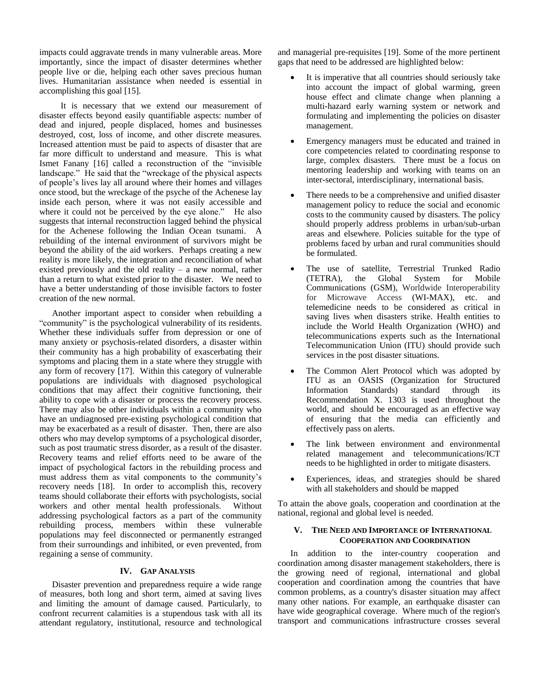impacts could aggravate trends in many vulnerable areas. More importantly, since the impact of disaster determines whether people live or die, helping each other saves precious human lives. Humanitarian assistance when needed is essential in accomplishing this goal [15].

 It is necessary that we extend our measurement of disaster effects beyond easily quantifiable aspects: number of dead and injured, people displaced, homes and businesses destroyed, cost, loss of income, and other discrete measures. Increased attention must be paid to aspects of disaster that are far more difficult to understand and measure. This is what Ismet Fanany [16] called a reconstruction of the "invisible landscape." He said that the "wreckage of the physical aspects of people's lives lay all around where their homes and villages once stood, but the wreckage of the psyche of the Achenese lay inside each person, where it was not easily accessible and where it could not be perceived by the eye alone." He also suggests that internal reconstruction lagged behind the physical for the Achenese following the Indian Ocean tsunami. A rebuilding of the internal environment of survivors might be beyond the ability of the aid workers. Perhaps creating a new reality is more likely, the integration and reconciliation of what existed previously and the old reality – a new normal, rather than a return to what existed prior to the disaster. We need to have a better understanding of those invisible factors to foster creation of the new normal.

Another important aspect to consider when rebuilding a "community" is the psychological vulnerability of its residents. Whether these individuals suffer from depression or one of many anxiety or psychosis-related disorders, a disaster within their community has a high probability of exascerbating their symptoms and placing them in a state where they struggle with any form of recovery [17]. Within this category of vulnerable populations are individuals with diagnosed psychological conditions that may affect their cognitive functioning, their ability to cope with a disaster or process the recovery process. There may also be other individuals within a community who have an undiagnosed pre-existing psychological condition that may be exacerbated as a result of disaster. Then, there are also others who may develop symptoms of a psychological disorder, such as post traumatic stress disorder, as a result of the disaster. Recovery teams and relief efforts need to be aware of the impact of psychological factors in the rebuilding process and must address them as vital components to the community's recovery needs [18]. In order to accomplish this, recovery teams should collaborate their efforts with psychologists, social workers and other mental health professionals. Without addressing psychological factors as a part of the community rebuilding process, members within these vulnerable populations may feel disconnected or permanently estranged from their surroundings and inhibited, or even prevented, from regaining a sense of community.

## **IV. GAP ANALYSIS**

Disaster prevention and preparedness require a wide range of measures, both long and short term, aimed at saving lives and limiting the amount of damage caused. Particularly, to confront recurrent calamities is a stupendous task with all its attendant regulatory, institutional, resource and technological

and managerial pre-requisites [19]. Some of the more pertinent gaps that need to be addressed are highlighted below:

- It is imperative that all countries should seriously take into account the impact of global warming, green house effect and climate change when planning a multi-hazard early warning system or network and formulating and implementing the policies on disaster management.
- Emergency managers must be educated and trained in core competencies related to coordinating response to large, complex disasters. There must be a focus on mentoring leadership and working with teams on an inter-sectoral, interdisciplinary, international basis.
- There needs to be a comprehensive and unified disaster management policy to reduce the social and economic costs to the community caused by disasters. The policy should properly address problems in urban/sub-urban areas and elsewhere. Policies suitable for the type of problems faced by urban and rural communities should be formulated.
- The use of satellite, Terrestrial Trunked Radio (TETRA), the Global System for Mobile Communications (GSM), Worldwide Interoperability for Microwave Access (WI-MAX), etc. and telemedicine needs to be considered as critical in saving lives when disasters strike. Health entities to include the World Health Organization (WHO) and telecommunications experts such as the International Telecommunication Union (ITU) should provide such services in the post disaster situations.
- The Common Alert Protocol which was adopted by ITU as an OASIS (Organization for Structured Information Standards) standard through its Recommendation X. 1303 is used throughout the world, and should be encouraged as an effective way of ensuring that the media can efficiently and effectively pass on alerts.
- The link between environment and environmental related management and telecommunications/ICT needs to be highlighted in order to mitigate disasters.
- Experiences, ideas, and strategies should be shared with all stakeholders and should be mapped

To attain the above goals, cooperation and coordination at the national, regional and global level is needed.

## **V. THE NEED AND IMPORTANCE OF INTERNATIONAL COOPERATION AND COORDINATION**

In addition to the inter-country cooperation and coordination among disaster management stakeholders, there is the growing need of regional, international and global cooperation and coordination among the countries that have common problems, as a country's disaster situation may affect many other nations. For example, an earthquake disaster can have wide geographical coverage. Where much of the region's transport and communications infrastructure crosses several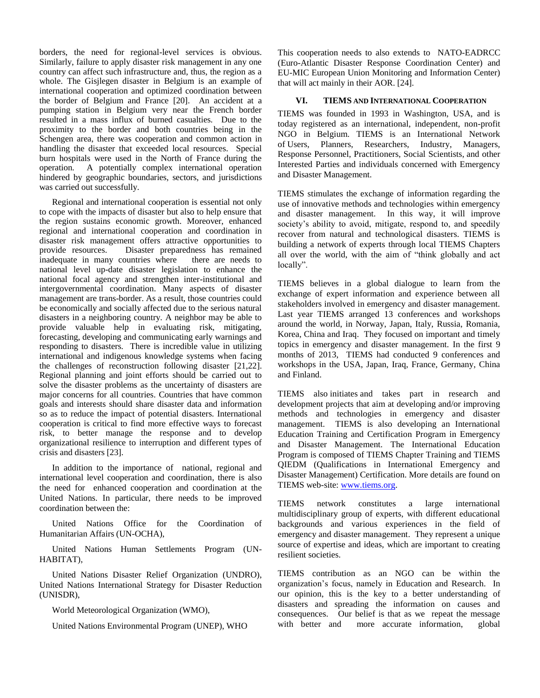borders, the need for regional-level services is obvious. Similarly, failure to apply disaster risk management in any one country can affect such infrastructure and, thus, the region as a whole. The Gisjlegen disaster in Belgium is an example of international cooperation and optimized coordination between the border of Belgium and France [20]. An accident at a pumping station in Belgium very near the French border resulted in a mass influx of burned casualties. Due to the proximity to the border and both countries being in the Schengen area, there was cooperation and common action in handling the disaster that exceeded local resources. Special burn hospitals were used in the North of France during the operation. A potentially complex international operation hindered by geographic boundaries, sectors, and jurisdictions was carried out successfully.

Regional and international cooperation is essential not only to cope with the impacts of disaster but also to help ensure that the region sustains economic growth. Moreover, enhanced regional and international cooperation and coordination in disaster risk management offers attractive opportunities to provide resources. Disaster preparedness has remained inadequate in many countries where there are needs to national level up-date disaster legislation to enhance the national focal agency and strengthen inter-institutional and intergovernmental coordination. Many aspects of disaster management are trans-border. As a result, those countries could be economically and socially affected due to the serious natural disasters in a neighboring country. A neighbor may be able to provide valuable help in evaluating risk, mitigating, forecasting, developing and communicating early warnings and responding to disasters. There is incredible value in utilizing international and indigenous knowledge systems when facing the challenges of reconstruction following disaster [21,22]. Regional planning and joint efforts should be carried out to solve the disaster problems as the uncertainty of disasters are major concerns for all countries. Countries that have common goals and interests should share disaster data and information so as to reduce the impact of potential disasters. International cooperation is critical to find more effective ways to forecast risk, to better manage the response and to develop organizational resilience to interruption and different types of crisis and disasters [23].

In addition to the importance of national, regional and international level cooperation and coordination, there is also the need for enhanced cooperation and coordination at the United Nations. In particular, there needs to be improved coordination between the:

United Nations Office for the Coordination of Humanitarian Affairs (UN-OCHA),

United Nations Human Settlements Program (UN-HABITAT),

United Nations Disaster Relief Organization (UNDRO), United Nations International Strategy for Disaster Reduction (UNISDR),

World Meteorological Organization (WMO),

United Nations Environmental Program (UNEP), WHO

This cooperation needs to also extends to NATO-EADRCC (Euro-Atlantic Disaster Response Coordination Center) and EU-MIC European Union Monitoring and Information Center) that will act mainly in their AOR. [24].

## **VI. TIEMS AND INTERNATIONAL COOPERATION**

TIEMS was founded in 1993 in Washington, USA, and is today registered as an international, independent, non-profit NGO in Belgium. TIEMS is an International Network of Users, Planners, Researchers, Industry, Managers, Response Personnel, Practitioners, Social Scientists, and other Interested Parties and individuals concerned with Emergency and Disaster Management.

TIEMS stimulates the exchange of information regarding the use of innovative methods and technologies within emergency and disaster management. In this way, it will improve society's ability to avoid, mitigate, respond to, and speedily recover from natural and technological disasters. TIEMS is building a network of experts through local TIEMS Chapters all over the world, with the aim of "think globally and act locally".

TIEMS believes in a global dialogue to learn from the exchange of expert information and experience between all stakeholders involved in emergency and disaster management. Last year TIEMS arranged 13 conferences and workshops around the world, in Norway, Japan, Italy, Russia, Romania, Korea, China and Iraq. They focused on important and timely topics in emergency and disaster management. In the first 9 months of 2013, TIEMS had conducted 9 conferences and workshops in the USA, Japan, Iraq, France, Germany, China and Finland.

TIEMS also initiates and takes part in research and development projects that aim at developing and/or improving methods and technologies in emergency and disaster management. TIEMS is also developing an International Education Training and Certification Program in Emergency and Disaster Management. The International Education Program is composed of TIEMS Chapter Training and TIEMS QIEDM (Qualifications in International Emergency and Disaster Management) Certification. More details are found on TIEMS web-site[: www.tiems.org.](http://www.tiems.org/) 

TIEMS network constitutes a large international multidisciplinary group of experts, with different educational backgrounds and various experiences in the field of emergency and disaster management. They represent a unique source of expertise and ideas, which are important to creating resilient societies.

TIEMS contribution as an NGO can be within the organization's focus, namely in Education and Research. In our opinion, this is the key to a better understanding of disasters and spreading the information on causes and consequences. Our belief is that as we repeat the message with better and more accurate information, global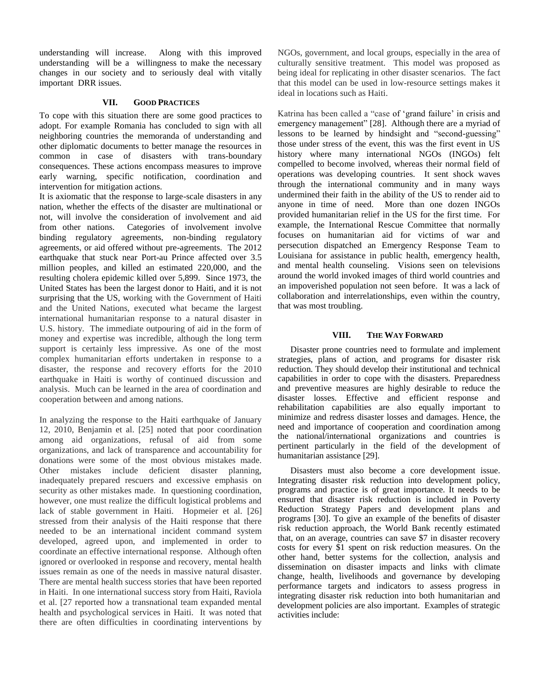understanding will increase. Along with this improved understanding will be a willingness to make the necessary changes in our society and to seriously deal with vitally important DRR issues.

# **VII. GOOD PRACTICES**

To cope with this situation there are some good practices to adopt. For example Romania has concluded to sign with all neighboring countries the memoranda of understanding and other diplomatic documents to better manage the resources in common in case of disasters with trans-boundary consequences. These actions encompass measures to improve early warning, specific notification, coordination and intervention for mitigation actions.

It is axiomatic that the response to large-scale disasters in any nation, whether the effects of the disaster are multinational or not, will involve the consideration of involvement and aid from other nations. Categories of involvement involve binding regulatory agreements, non-binding regulatory agreements, or aid offered without pre-agreements. The 2012 earthquake that stuck near Port-au Prince affected over 3.5 million peoples, and killed an estimated 220,000, and the resulting cholera epidemic killed over 5,899. Since 1973, the United States has been the largest donor to Haiti, and it is not surprising that the US, working with the Government of Haiti and the United Nations, executed what became the largest international humanitarian response to a natural disaster in U.S. history. The immediate outpouring of aid in the form of money and expertise was incredible, although the long term support is certainly less impressive. As one of the most complex humanitarian efforts undertaken in response to a disaster, the response and recovery efforts for the 2010 earthquake in Haiti is worthy of continued discussion and analysis. Much can be learned in the area of coordination and cooperation between and among nations.

In analyzing the response to the Haiti earthquake of January 12, 2010, Benjamin et al. [25] noted that poor coordination among aid organizations, refusal of aid from some organizations, and lack of transparence and accountability for donations were some of the most obvious mistakes made. Other mistakes include deficient disaster planning, inadequately prepared rescuers and excessive emphasis on security as other mistakes made. In questioning coordination, however, one must realize the difficult logistical problems and lack of stable government in Haiti. Hopmeier et al. [26] stressed from their analysis of the Haiti response that there needed to be an international incident command system developed, agreed upon, and implemented in order to coordinate an effective international response. Although often ignored or overlooked in response and recovery, mental health issues remain as one of the needs in massive natural disaster. There are mental health success stories that have been reported in Haiti. In one international success story from Haiti, Raviola et al. [27 reported how a transnational team expanded mental health and psychological services in Haiti. It was noted that there are often difficulties in coordinating interventions by

NGOs, government, and local groups, especially in the area of culturally sensitive treatment. This model was proposed as being ideal for replicating in other disaster scenarios. The fact that this model can be used in low-resource settings makes it ideal in locations such as Haiti.

Katrina has been called a "case of 'grand failure' in crisis and emergency management" [28]. Although there are a myriad of lessons to be learned by hindsight and "second-guessing" those under stress of the event, this was the first event in US history where many international NGOs (INGOs) felt compelled to become involved, whereas their normal field of operations was developing countries. It sent shock waves through the international community and in many ways undermined their faith in the ability of the US to render aid to anyone in time of need. More than one dozen INGOs provided humanitarian relief in the US for the first time. For example, the International Rescue Committee that normally focuses on humanitarian aid for victims of war and persecution dispatched an Emergency Response Team to Louisiana for assistance in public health, emergency health, and mental health counseling. Visions seen on televisions around the world invoked images of third world countries and an impoverished population not seen before. It was a lack of collaboration and interrelationships, even within the country, that was most troubling.

## **VIII. THE WAY FORWARD**

Disaster prone countries need to formulate and implement strategies, plans of action, and programs for disaster risk reduction. They should develop their institutional and technical capabilities in order to cope with the disasters. Preparedness and preventive measures are highly desirable to reduce the disaster losses. Effective and efficient response and rehabilitation capabilities are also equally important to minimize and redress disaster losses and damages. Hence, the need and importance of cooperation and coordination among the national/international organizations and countries is pertinent particularly in the field of the development of humanitarian assistance [29].

Disasters must also become a core development issue. Integrating disaster risk reduction into development policy, programs and practice is of great importance. It needs to be ensured that disaster risk reduction is included in Poverty Reduction Strategy Papers and development plans and programs [30]. To give an example of the benefits of disaster risk reduction approach, the World Bank recently estimated that, on an average, countries can save \$7 in disaster recovery costs for every \$1 spent on risk reduction measures. On the other hand, better systems for the collection, analysis and dissemination on disaster impacts and links with climate change, health, livelihoods and governance by developing performance targets and indicators to assess progress in integrating disaster risk reduction into both humanitarian and development policies are also important. Examples of strategic activities include: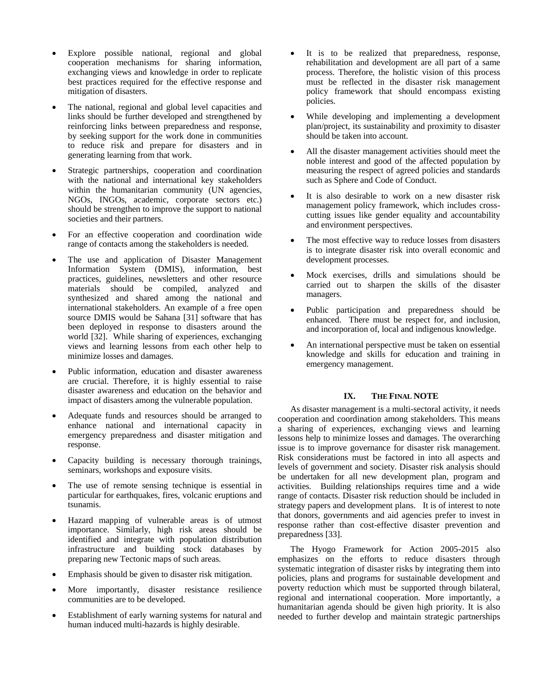- Explore possible national, regional and global cooperation mechanisms for sharing information, exchanging views and knowledge in order to replicate best practices required for the effective response and mitigation of disasters.
- The national, regional and global level capacities and links should be further developed and strengthened by reinforcing links between preparedness and response, by seeking support for the work done in communities to reduce risk and prepare for disasters and in generating learning from that work.
- Strategic partnerships, cooperation and coordination with the national and international key stakeholders within the humanitarian community (UN agencies, NGOs, INGOs, academic, corporate sectors etc.) should be strengthen to improve the support to national societies and their partners.
- For an effective cooperation and coordination wide range of contacts among the stakeholders is needed.
- The use and application of Disaster Management Information System (DMIS), information, best practices, guidelines, newsletters and other resource materials should be compiled, analyzed and synthesized and shared among the national and international stakeholders. An example of a free open source DMIS would be Sahana [31] software that has been deployed in response to disasters around the world [32]. While sharing of experiences, exchanging views and learning lessons from each other help to minimize losses and damages.
- Public information, education and disaster awareness are crucial. Therefore, it is highly essential to raise disaster awareness and education on the behavior and impact of disasters among the vulnerable population.
- Adequate funds and resources should be arranged to enhance national and international capacity in emergency preparedness and disaster mitigation and response.
- Capacity building is necessary thorough trainings, seminars, workshops and exposure visits.
- The use of remote sensing technique is essential in particular for earthquakes, fires, volcanic eruptions and tsunamis.
- Hazard mapping of vulnerable areas is of utmost importance. Similarly, high risk areas should be identified and integrate with population distribution infrastructure and building stock databases by preparing new Tectonic maps of such areas.
- Emphasis should be given to disaster risk mitigation.
- More importantly, disaster resistance resilience communities are to be developed.
- Establishment of early warning systems for natural and human induced multi-hazards is highly desirable.
- It is to be realized that preparedness, response, rehabilitation and development are all part of a same process. Therefore, the holistic vision of this process must be reflected in the disaster risk management policy framework that should encompass existing policies.
- While developing and implementing a development plan/project, its sustainability and proximity to disaster should be taken into account.
- All the disaster management activities should meet the noble interest and good of the affected population by measuring the respect of agreed policies and standards such as Sphere and Code of Conduct.
- It is also desirable to work on a new disaster risk management policy framework, which includes crosscutting issues like gender equality and accountability and environment perspectives.
- The most effective way to reduce losses from disasters is to integrate disaster risk into overall economic and development processes.
- Mock exercises, drills and simulations should be carried out to sharpen the skills of the disaster managers.
- Public participation and preparedness should be enhanced. There must be respect for, and inclusion, and incorporation of, local and indigenous knowledge.
- An international perspective must be taken on essential knowledge and skills for education and training in emergency management.

#### **IX. THE FINAL NOTE**

As disaster management is a multi-sectoral activity, it needs cooperation and coordination among stakeholders. This means a sharing of experiences, exchanging views and learning lessons help to minimize losses and damages. The overarching issue is to improve governance for disaster risk management. Risk considerations must be factored in into all aspects and levels of government and society. Disaster risk analysis should be undertaken for all new development plan, program and activities. Building relationships requires time and a wide range of contacts. Disaster risk reduction should be included in strategy papers and development plans. It is of interest to note that donors, governments and aid agencies prefer to invest in response rather than cost-effective disaster prevention and preparedness [33].

The Hyogo Framework for Action 2005-2015 also emphasizes on the efforts to reduce disasters through systematic integration of disaster risks by integrating them into policies, plans and programs for sustainable development and poverty reduction which must be supported through bilateral, regional and international cooperation. More importantly, a humanitarian agenda should be given high priority. It is also needed to further develop and maintain strategic partnerships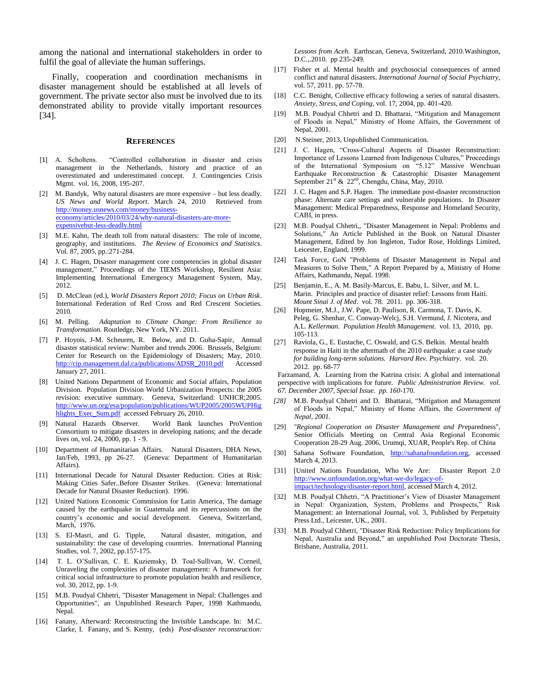among the national and international stakeholders in order to fulfil the goal of alleviate the human sufferings.

Finally, cooperation and coordination mechanisms in disaster management should be established at all levels of government. The private sector also must be involved due to its demonstrated ability to provide vitally important resources [34].

#### **REFERENCES**

- [1] A. Scholtens. "Controlled collaboration in disaster and crisis management in the Netherlands, history and practice of an overestimated and underestimated concept. J. Contingencies Crisis Mgmt. vol. 16, 2008, 195-207.
- [2] M. Bandyk, Why natural disasters are more expensive but less deadly. *US News and World Report*. March 24, 2010 Retrieved from [http://money.usnews.com/money/business](http://money.usnews.com/money/business-economy/articles/2010/03/24/why-natural-disasters-are-more-expensivebut-less-deadly.html)[economy/articles/2010/03/24/why-natural-disasters-are-more](http://money.usnews.com/money/business-economy/articles/2010/03/24/why-natural-disasters-are-more-expensivebut-less-deadly.html)[expensivebut-less-deadly.html](http://money.usnews.com/money/business-economy/articles/2010/03/24/why-natural-disasters-are-more-expensivebut-less-deadly.html)
- [3] M.E. Kahn, The death toll from natural disasters: The role of income, geography, and institutions. *The Review of Economics and Statistics*. Vol. 87, 2005, pp.:271-284.
- [4] J. C. Hagen, Disaster management core competencies in global disaster management," Proceedings of the TIEMS Workshop, Resilient Asia: Implementing International Emergency Management System, May, 2012.
- [5] D. McClean (ed.), *World Disasters Report 2010; Focus on Urban Risk*. International Federation of Red Cross and Red Crescent Societies. 2010.
- [6] M. Pelling. *Adaptation to Climate Change: From Resilience to Transformation.* Routledge, New York, NY. 2011.
- [7] P. Hoyois, J-M. Scheuren, R. Below, and D. Guha-Sapir, Annual disaster statistical review: Number and trends 2006. Brussels, Belgium: Center for Research on the Epidemiology of Disasters; May, 2010. [http://cip.management.dal.ca/publications/ADSR\\_2010.pdf](http://cip.management.dal.ca/publications/ADSR_2010.pdf) Accessed January 27, 2011.
- [8] United Nations Department of Economic and Social affairs, Population Division. Population Division World Urbanization Prospects: the 2005 revision: executive summary. Geneva, Switzerland: UNHCR;2005. [http://www.un.org/esa/population/publications/WUP2005/2005WUPHig](http://www.un.org/esa/population/publications/WUP2005/2005WUPHighlights_Exec_Sum.pdf) [hlights\\_Exec\\_Sum.pdf](http://www.un.org/esa/population/publications/WUP2005/2005WUPHighlights_Exec_Sum.pdf) accessed February 26, 2010.
- [9] Natural Hazards Observer. World Bank launches ProVention Consortium to mitigate disasters in developing nations; and the decade lives on, vol. 24, 2000, pp. 1 - 9.
- [10] Department of Humanitarian Affairs. Natural Disasters, DHA News, Jan/Feb, 1993, pp 26-27. (Geneva: Department of Humanitarian Affairs).
- [11] International Decade for Natural Disaster Reduction. Cities at Risk: Making Cities Safer..Before Disaster Strikes. (Geneva: International Decade for Natural Disaster Reduction). 1996.
- [12] United Nations Economic Commission for Latin America, The damage caused by the earthquake in Guatemala and its repercussions on the country's economic and social development. Geneva, Switzerland, March, 1976.
- [13] S. El-Masri, and G. Tipple, Natural disaster, mitigation, and sustainability: the case of developing countries. International Planning Studies, vol. 7, 2002, pp.157-175.
- [14] T. L. O'Sullivan, C. E. Kuziemsky, D. Toal-Sullivan, W. Corneil, Unraveling the complexities of disaster management: A framework for critical social infrastructure to promote population health and resilience, vol. 30, 2012, pp. 1-9.
- [15] M.B. Poudyal Chhetri, "Disaster Management in Nepal: Challenges and Opportunities", an Unpublished Research Paper, 1998 Kathmandu, Nepal.
- [16] Fanany, Afterward: Reconstructing the Invisible Landscape. In: M.C. Clarke, I. Fanany, and S. Kenny, (eds) *Post-disaster reconstruction:*

*Lessons from Aceh.* Earthscan, Geneva, Switzerland, 2010.Washington, D.C.,.2010. pp 235-249.

- [17] Fisher et al. Mental health and psychosocial consequences of armed conflict and natural disasters. *International Journal of Social Psychiatry*, vol. 57, 2011. pp. 57-78.
- [18] C.C. Benight, Collective efficacy following a series of natural disasters. *Anxiety, Stress, and Coping*, vol. 17, 2004, pp. 401-420.
- [19] M.B. Poudyal Chhetri and D. Bhattarai, "Mitigation and Management of Floods in Nepal," Ministry of Home Affairs, the Government of Nepal, 2001.
- [20] N.Steiner, 2013, Unpublished Communication.
- [21] J. C. Hagen, "Cross-Cultural Aspects of Disaster Reconstruction: Importance of Lessons Learned from Indigenous Cultures," Proceedings of the International Symposium on "5.12" Massive Wenchuan Earthquake Reconstruction & Catastrophic Disaster Management September  $21^{st}$  &  $22^{nd}$ , Chengdu, China, May, 2010.
- [22] J. C. Hagen and S.P. Hagen. The immediate post-disaster reconstruction phase: Alternate care settings and vulnerable populations. In Disaster Management: Medical Preparedness, Response and Homeland Security, CABI, in press.
- [23] M.B. Poudyal Chhetri,, "Disaster Management in Nepal: Problems and Solutions," An Article Published in the Book on Natural Disaster Management, Edited by Jon Ingleton, Tudor Rose, Holdings Limited, Leicester, England, 1999.
- [24] Task Force, GoN "Problems of Disaster Management in Nepal and Measures to Solve Them," A Report Prepared by a, Ministry of Home Affairs, Kathmandu, Nepal. 1998.
- Benjamin, E., A. M. Basily-Marcus, E. Babu, L. Silver, and M. L. Marin. Principles and practice of disaster relief: Lessons from Haiti. *Mount Sinai J. of Med*. vol. 78. 2011. pp. 306-318.
- [26] Hopmeier, M.J., J.W. Pape, D. Paulison, R. Carmona, T. Davis, K. Peleg, G. Shenhar, C. Conway-Welcj, S.H. Vermund, J. Nicotera, and A.L. *Kellerman. Population Health Management*. vol. 13, 2010, pp. 105-113.
- [27] Raviola, G., E. Eustache, C. Oswald, and G.S. Belkin. Mental health response in Haiti in the aftermath of the 2010 earthquake: a case s*tudy for building long-term solutions. Harvard Rev. Psychiatry*. vol. 20. 2012. pp. 68-77

Farzamand, A. Learning from the Katrina crisis: A global and international perspective with implications for future. *Public Administration Review. vol. 67. December 2007, Special Issue. pp. 160-*170.

- *[28]* M.B. Poudyal Chhetri and D. Bhattarai, "Mitigation and Management of Floods in Nepal," Ministry of Home Affairs, the *Government of Nepal, 2001.*
- [29] *"Regional Cooperation on Disaster Management and Pr*eparedness", Senior Officials Meeting on Central Asia Regional Economic Cooperation 28-29 Aug. 2006, Urumqi, XUAR, People's Rep. of China
- [30] Sahana Software Foundation, [http://sahanafoundation.org,](http://sahanafoundation.org/) accessed March 4, 2013.
- [31] [United Nations Foundation, Who We Are: Disaster Report 2.0 [http://www.unfoundation.org/what-we-do/legacy-of](http://www.unfoundation.org/what-we-do/legacy-of-impact/technology/disaster-report.html)[impact/technology/disaster-report.html,](http://www.unfoundation.org/what-we-do/legacy-of-impact/technology/disaster-report.html) accessed March 4, 2012.
- [32] M.B. Poudyal Chhetri, "A Practitioner's View of Disaster Management in Nepal: Organization, System, Problems and Prospects," Risk Management: an International Journal, vol. 3, Published by Perpetuity Press Ltd., Leicester, UK., 2001.
- [33] M.B. Poudyal Chhetri, "Disaster Risk Reduction: Policy Implications for Nepal, Australia and Beyond," an unpublished Post Doctorate Thesis, Brisbane, Australia, 2011.